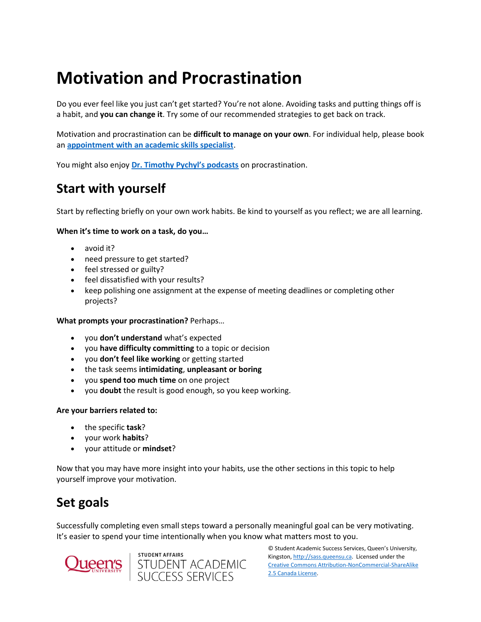# **Motivation and Procrastination**

Do you ever feel like you just can't get started? You're not alone. Avoiding tasks and putting things off is a habit, and **you can change it**. Try some of our recommended strategies to get back on track.

Motivation and procrastination can be **difficult to manage on your own**. For individual help, please book an **[appointment with an academic skills specialist](https://wp3-dev.its.queensu.ca/ha/sasswww/academic-support/appointments)**.

You might also enjoy **[Dr. Timothy Pychyl's podcasts](http://www.procrastination.ca/)** on procrastination.

# **Start with yourself**

Start by reflecting briefly on your own work habits. Be kind to yourself as you reflect; we are all learning.

#### **When it's time to work on a task, do you…**

- avoid it?
- need pressure to get started?
- feel stressed or guilty?
- feel dissatisfied with your results?
- keep polishing one assignment at the expense of meeting deadlines or completing other projects?

#### **What prompts your procrastination?** Perhaps…

- you **don't understand** what's expected
- you **have difficulty committing** to a topic or decision
- you **don't feel like working** or getting started
- the task seems **intimidating**, **unpleasant or boring**
- you **spend too much time** on one project
- you **doubt** the result is good enough, so you keep working.

#### **Are your barriers related to:**

- the specific **task**?
- your work **habits**?
- your attitude or **mindset**?

Now that you may have more insight into your habits, use the other sections in this topic to help yourself improve your motivation.

# **Set goals**

Successfully completing even small steps toward a personally meaningful goal can be very motivating. It's easier to spend your time intentionally when you know what matters most to you.





© Student Academic Success Services, Queen's University, Kingston[, http://sass.queensu.ca.](http://sass.queensu.ca/) Licensed under the [Creative Commons Attribution-NonCommercial-ShareAlike](http://creativecommons.org/licenses/by-nc-sa/2.5/ca/)  [2.5 Canada License.](http://creativecommons.org/licenses/by-nc-sa/2.5/ca/)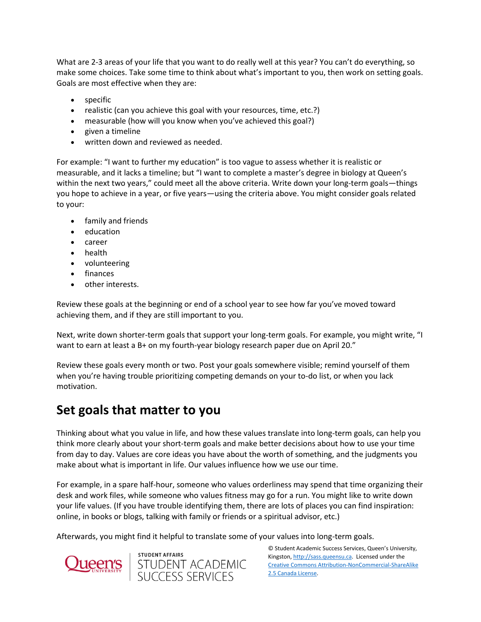What are 2-3 areas of your life that you want to do really well at this year? You can't do everything, so make some choices. Take some time to think about what's important to you, then work on setting goals. Goals are most effective when they are:

- specific
- realistic (can you achieve this goal with your resources, time, etc.?)
- measurable (how will you know when you've achieved this goal?)
- given a timeline
- written down and reviewed as needed.

For example: "I want to further my education" is too vague to assess whether it is realistic or measurable, and it lacks a timeline; but "I want to complete a master's degree in biology at Queen's within the next two years," could meet all the above criteria. Write down your long-term goals-things you hope to achieve in a year, or five years—using the criteria above. You might consider goals related to your:

- family and friends
- education
- career
- health
- volunteering
- finances
- other interests.

Review these goals at the beginning or end of a school year to see how far you've moved toward achieving them, and if they are still important to you.

Next, write down shorter-term goals that support your long-term goals. For example, you might write, "I want to earn at least a B+ on my fourth-year biology research paper due on April 20."

Review these goals every month or two. Post your goals somewhere visible; remind yourself of them when you're having trouble prioritizing competing demands on your to-do list, or when you lack motivation.

### **Set goals that matter to you**

Thinking about what you value in life, and how these values translate into long-term goals, can help you think more clearly about your short-term goals and make better decisions about how to use your time from day to day. Values are core ideas you have about the worth of something, and the judgments you make about what is important in life. Our values influence how we use our time.

For example, in a spare half-hour, someone who values orderliness may spend that time organizing their desk and work files, while someone who values fitness may go for a run. You might like to write down your life values. (If you have trouble identifying them, there are lots of places you can find inspiration: online, in books or blogs, talking with family or friends or a spiritual advisor, etc.)

Afterwards, you might find it helpful to translate some of your values into long-term goals.



student affairs<br>STUDENT ACADEMIC<br>SUCCESS SERVICES

© Student Academic Success Services, Queen's University, Kingston[, http://sass.queensu.ca.](http://sass.queensu.ca/) Licensed under the [Creative Commons Attribution-NonCommercial-ShareAlike](http://creativecommons.org/licenses/by-nc-sa/2.5/ca/)  [2.5 Canada License.](http://creativecommons.org/licenses/by-nc-sa/2.5/ca/)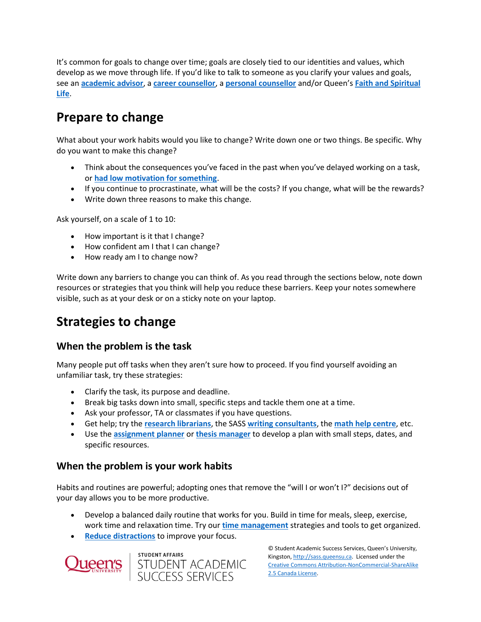It's common for goals to change over time; goals are closely tied to our identities and values, which develop as we move through life. If you'd like to talk to someone as you clarify your values and goals, see an **[academic advisor](https://www.queensu.ca/artsci/undergrad-students/pass-academic-advising)**, a **[career counsellor](https://careers.queensu.ca/students/services-students/appointments/career-counseling-appointments)**, a **[personal counsellor](http://www.queensu.ca/studentwellness/home)** and/or Queen's **[Faith and Spiritual](https://www.queensu.ca/faith-and-spiritual-life/)  [Life](https://www.queensu.ca/faith-and-spiritual-life/)**.

# **Prepare to change**

What about your work habits would you like to change? Write down one or two things. Be specific. Why do you want to make this change?

- Think about the consequences you've faced in the past when you've delayed working on a task, or **[had low motivation for something](https://www.facebook.com/QueensuSASS/posts/2673900712625698)**.
- If you continue to procrastinate, what will be the costs? If you change, what will be the rewards?
- Write down three reasons to make this change.

Ask yourself, on a scale of 1 to 10:

- How important is it that I change?
- How confident am I that I can change?
- How ready am I to change now?

Write down any barriers to change you can think of. As you read through the sections below, note down resources or strategies that you think will help you reduce these barriers. Keep your notes somewhere visible, such as at your desk or on a sticky note on your laptop.

### **Strategies to change**

### **When the problem is the task**

Many people put off tasks when they aren't sure how to proceed. If you find yourself avoiding an unfamiliar task, try these strategies:

- Clarify the task, its purpose and deadline.
- Break big tasks down into small, specific steps and tackle them one at a time.
- Ask your professor, TA or classmates if you have questions.
- Get help; try the **[research librarians](https://www.library.queensu.ca/search/omni)**, the SASS **[writing consultants](https://wp3-dev.its.queensu.ca/ha/sasswww/academic-support/appointments)**, the **[math help centre](https://www.queensu.ca/mathstat/undergraduate/current-undergraduate/help)**, etc.
- Use the **[assignment planner](https://wp3-dev.its.queensu.ca/ha/sasswww/assignments)** or **[thesis manager](https://www.queensu.ca/sgs/current-students/degree-completion/thesis-formatting-other-resources)** to develop a plan with small steps, dates, and specific resources.

### **When the problem is your work habits**

Habits and routines are powerful; adopting ones that remove the "will I or won't I?" decisions out of your day allows you to be more productive.

- Develop a balanced daily routine that works for you. Build in time for meals, sleep, exercise, work time and relaxation time. Try our **[time management](https://wp3-dev.its.queensu.ca/ha/sasswww/resources/managing-your-time-university)** strategies and tools to get organized.
- **[Reduce distractions](https://wp3-dev.its.queensu.ca/ha/sasswww/resources/focus-and-concentration)** to improve your focus.





© Student Academic Success Services, Queen's University, Kingston[, http://sass.queensu.ca.](http://sass.queensu.ca/) Licensed under the [Creative Commons Attribution-NonCommercial-ShareAlike](http://creativecommons.org/licenses/by-nc-sa/2.5/ca/)  [2.5 Canada License.](http://creativecommons.org/licenses/by-nc-sa/2.5/ca/)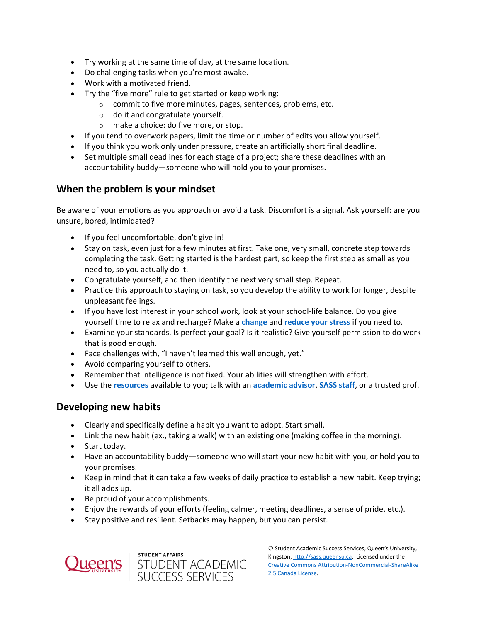- Try working at the same time of day, at the same location.
- Do challenging tasks when you're most awake.
- Work with a motivated friend.
- Try the "five more" rule to get started or keep working:
	- o commit to five more minutes, pages, sentences, problems, etc.
	- o do it and congratulate yourself.
	- o make a choice: do five more, or stop.
- If you tend to overwork papers, limit the time or number of edits you allow yourself.
- If you think you work only under pressure, create an artificially short final deadline.
- Set multiple small deadlines for each stage of a project; share these deadlines with an accountability buddy—someone who will hold you to your promises.

### **When the problem is your mindset**

Be aware of your emotions as you approach or avoid a task. Discomfort is a signal. Ask yourself: are you unsure, bored, intimidated?

- If you feel uncomfortable, don't give in!
- Stay on task, even just for a few minutes at first. Take one, very small, concrete step towards completing the task. Getting started is the hardest part, so keep the first step as small as you need to, so you actually do it.
- Congratulate yourself, and then identify the next very small step. Repeat.
- Practice this approach to staying on task, so you develop the ability to work for longer, despite unpleasant feelings.
- If you have lost interest in your school work, look at your school-life balance. Do you give yourself time to relax and recharge? Make a **[change](https://wp3-dev.its.queensu.ca/ha/sasswww/resources/managing-your-time-university)** and **[reduce your stress](https://wp3-dev.its.queensu.ca/ha/sasswww/resources/academic-stress)** if you need to.
- Examine your standards. Is perfect your goal? Is it realistic? Give yourself permission to do work that is good enough.
- Face challenges with, "I haven't learned this well enough, yet."
- Avoid comparing yourself to others.
- Remember that intelligence is not fixed. Your abilities will strengthen with effort.
- Use the **[resources](https://wp3-dev.its.queensu.ca/ha/sasswww/resources/academic-stress)** available to you; talk with an **[academic advisor](https://www.queensu.ca/artsci/graduate-studies-at-queens)**, **[SASS staff](https://wp3-dev.its.queensu.ca/ha/sasswww/academic-support/appointments)**, or a trusted prof.

#### **Developing new habits**

- Clearly and specifically define a habit you want to adopt. Start small.
- Link the new habit (ex., taking a walk) with an existing one (making coffee in the morning).
- Start today.
- Have an accountability buddy—someone who will start your new habit with you, or hold you to your promises.
- Keep in mind that it can take a few weeks of daily practice to establish a new habit. Keep trying; it all adds up.
- Be proud of your accomplishments.
- Enjoy the rewards of your efforts (feeling calmer, meeting deadlines, a sense of pride, etc.).
- Stay positive and resilient. Setbacks may happen, but you can persist.





© Student Academic Success Services, Queen's University, Kingston[, http://sass.queensu.ca.](http://sass.queensu.ca/) Licensed under the [Creative Commons Attribution-NonCommercial-ShareAlike](http://creativecommons.org/licenses/by-nc-sa/2.5/ca/)  [2.5 Canada License.](http://creativecommons.org/licenses/by-nc-sa/2.5/ca/)